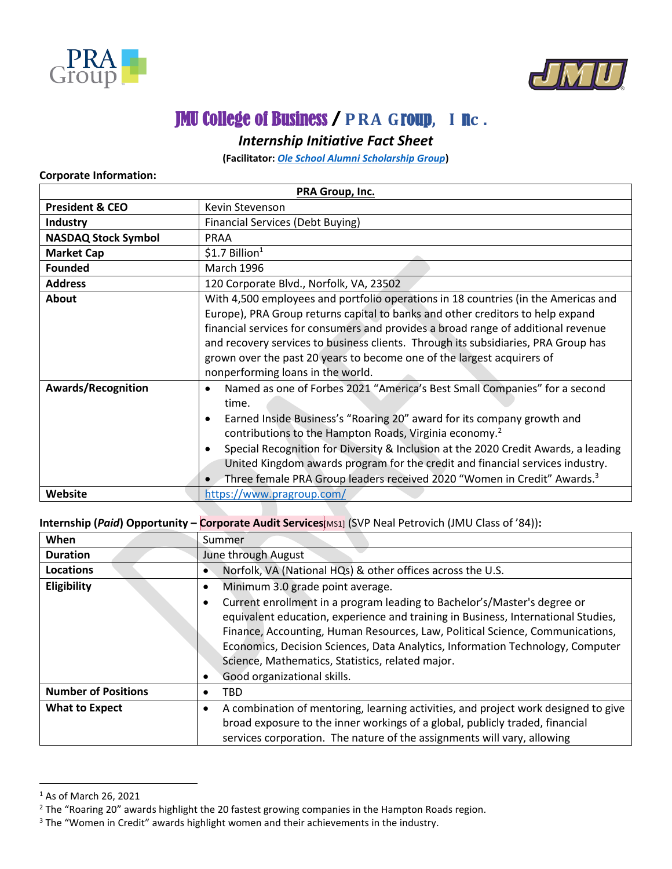



## JMU College of Business / **PRA G**roup**, I** n**c .**

## *Internship Initiative Fact Sheet*

**(Facilitator:** *[Ole School Alumni Scholarship Group](https://www.oleschoolalumnigroup.com/)***)**

## **Corporate Information:**

| PRA Group, Inc.            |                                                                                                                                                                                                                                                                                                                                                                                                                                                                                                                                                      |  |  |  |
|----------------------------|------------------------------------------------------------------------------------------------------------------------------------------------------------------------------------------------------------------------------------------------------------------------------------------------------------------------------------------------------------------------------------------------------------------------------------------------------------------------------------------------------------------------------------------------------|--|--|--|
| <b>President &amp; CEO</b> | Kevin Stevenson                                                                                                                                                                                                                                                                                                                                                                                                                                                                                                                                      |  |  |  |
| <b>Industry</b>            | <b>Financial Services (Debt Buying)</b>                                                                                                                                                                                                                                                                                                                                                                                                                                                                                                              |  |  |  |
| <b>NASDAQ Stock Symbol</b> | <b>PRAA</b>                                                                                                                                                                                                                                                                                                                                                                                                                                                                                                                                          |  |  |  |
| <b>Market Cap</b>          | $$1.7$ Billion <sup>1</sup>                                                                                                                                                                                                                                                                                                                                                                                                                                                                                                                          |  |  |  |
| <b>Founded</b>             | <b>March 1996</b>                                                                                                                                                                                                                                                                                                                                                                                                                                                                                                                                    |  |  |  |
| <b>Address</b>             | 120 Corporate Blvd., Norfolk, VA, 23502                                                                                                                                                                                                                                                                                                                                                                                                                                                                                                              |  |  |  |
| About                      | With 4,500 employees and portfolio operations in 18 countries (in the Americas and<br>Europe), PRA Group returns capital to banks and other creditors to help expand<br>financial services for consumers and provides a broad range of additional revenue<br>and recovery services to business clients. Through its subsidiaries, PRA Group has<br>grown over the past 20 years to become one of the largest acquirers of<br>nonperforming loans in the world.                                                                                       |  |  |  |
| <b>Awards/Recognition</b>  | Named as one of Forbes 2021 "America's Best Small Companies" for a second<br>$\bullet$<br>time.<br>Earned Inside Business's "Roaring 20" award for its company growth and<br>$\bullet$<br>contributions to the Hampton Roads, Virginia economy. <sup>2</sup><br>Special Recognition for Diversity & Inclusion at the 2020 Credit Awards, a leading<br>$\bullet$<br>United Kingdom awards program for the credit and financial services industry.<br>Three female PRA Group leaders received 2020 "Women in Credit" Awards. <sup>3</sup><br>$\bullet$ |  |  |  |
| Website                    | https://www.pragroup.com/                                                                                                                                                                                                                                                                                                                                                                                                                                                                                                                            |  |  |  |

**Internship (***Paid***) Opportunity – Corporate Audit Services**[MS1] (SVP Neal Petrovich (JMU Class of '84))**:**

| When                       | Summer                                                                                                                                                                                                                                                                                                                                                                                                              |  |  |
|----------------------------|---------------------------------------------------------------------------------------------------------------------------------------------------------------------------------------------------------------------------------------------------------------------------------------------------------------------------------------------------------------------------------------------------------------------|--|--|
| <b>Duration</b>            | June through August                                                                                                                                                                                                                                                                                                                                                                                                 |  |  |
| Locations                  | Norfolk, VA (National HQs) & other offices across the U.S.                                                                                                                                                                                                                                                                                                                                                          |  |  |
| Eligibility                | Minimum 3.0 grade point average.                                                                                                                                                                                                                                                                                                                                                                                    |  |  |
|                            | Current enrollment in a program leading to Bachelor's/Master's degree or<br>equivalent education, experience and training in Business, International Studies,<br>Finance, Accounting, Human Resources, Law, Political Science, Communications,<br>Economics, Decision Sciences, Data Analytics, Information Technology, Computer<br>Science, Mathematics, Statistics, related major.<br>Good organizational skills. |  |  |
| <b>Number of Positions</b> | TBD                                                                                                                                                                                                                                                                                                                                                                                                                 |  |  |
| <b>What to Expect</b>      | A combination of mentoring, learning activities, and project work designed to give<br>broad exposure to the inner workings of a global, publicly traded, financial<br>services corporation. The nature of the assignments will vary, allowing                                                                                                                                                                       |  |  |

<sup>1</sup> As of March 26, 2021

 $\overline{\phantom{a}}$ 

 $2$  The "Roaring 20" awards highlight the 20 fastest growing companies in the Hampton Roads region.

<sup>&</sup>lt;sup>3</sup> The "Women in Credit" awards highlight women and their achievements in the industry.